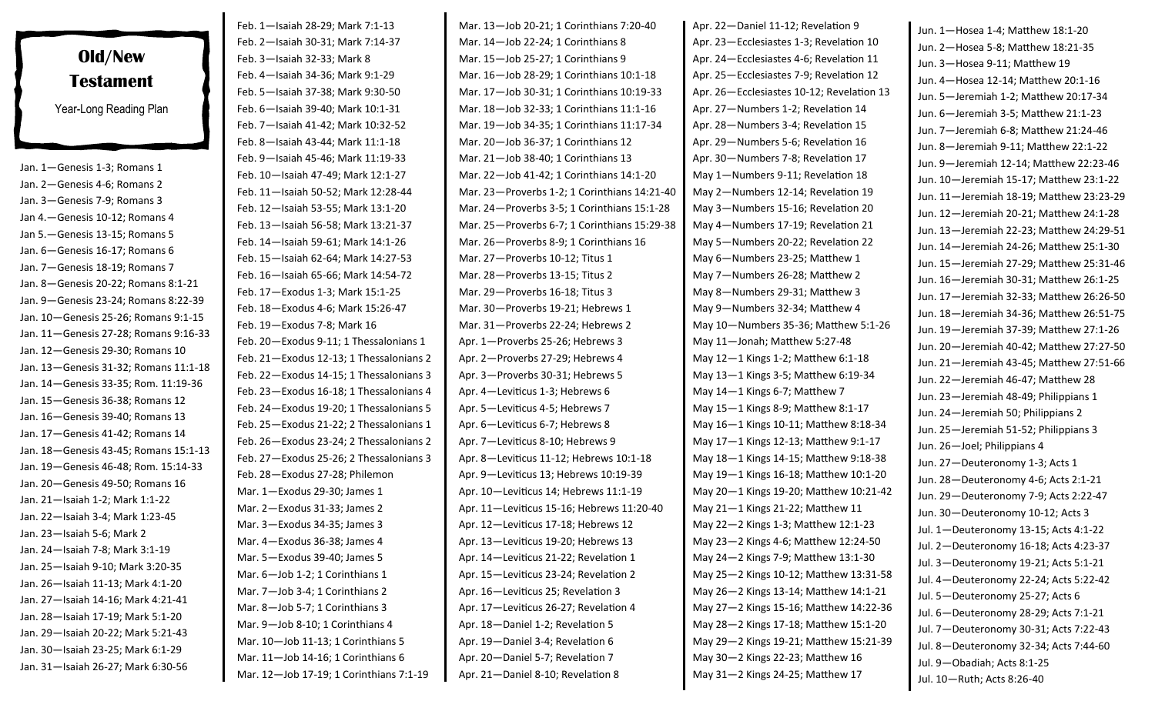## **Old/New Testament** Year-Long Reading Plan

Jan. 1—Genesis 1-3; Romans 1 Jan. 2—Genesis 4-6; Romans 2 Jan. 3—Genesis 7-9; Romans 3 Jan 4.—Genesis 10-12; Romans 4 Jan 5.—Genesis 13-15; Romans 5 Jan. 6—Genesis 16-17; Romans 6 Jan. 7—Genesis 18-19; Romans 7 Jan. 8—Genesis 20-22; Romans 8:1-21 Jan. 9—Genesis 23-24; Romans 8:22-39 Jan. 10—Genesis 25-26; Romans 9:1-15 Jan. 11—Genesis 27-28; Romans 9:16-33 Jan. 12—Genesis 29-30; Romans 10 Jan. 13—Genesis 31-32; Romans 11:1-18 Jan. 14—Genesis 33-35; Rom. 11:19-36 Jan. 15—Genesis 36-38; Romans 12 Jan. 16—Genesis 39-40; Romans 13 Jan. 17—Genesis 41-42; Romans 14 Jan. 18—Genesis 43-45; Romans 15:1-13 Jan. 19—Genesis 46-48; Rom. 15:14-33 Jan. 20—Genesis 49-50; Romans 16 Jan. 21—Isaiah 1-2; Mark 1:1-22 Jan. 22—Isaiah 3-4; Mark 1:23-45 Jan. 23—Isaiah 5-6; Mark 2 Jan. 24—Isaiah 7-8; Mark 3:1-19 Jan. 25—Isaiah 9-10; Mark 3:20-35 Jan. 26—Isaiah 11-13; Mark 4:1-20 Jan. 27—Isaiah 14-16; Mark 4:21-41 Jan. 28—Isaiah 17-19; Mark 5:1-20 Jan. 29—Isaiah 20-22; Mark 5:21-43 Jan. 30—Isaiah 23-25; Mark 6:1-29 Jan. 31—Isaiah 26-27; Mark 6:30-56

Feb. 1—Isaiah 28-29; Mark 7:1-13 Feb. 2—Isaiah 30-31; Mark 7:14-37 Feb. 3—Isaiah 32-33; Mark 8 Feb. 4—Isaiah 34-36; Mark 9:1-29 Feb. 5—Isaiah 37-38; Mark 9:30-50 Feb. 6—Isaiah 39-40; Mark 10:1-31 Feb. 7—Isaiah 41-42; Mark 10:32-52 Feb. 8—Isaiah 43-44; Mark 11:1-18 Feb. 9—Isaiah 45-46; Mark 11:19-33 Feb. 10—Isaiah 47-49; Mark 12:1-27 Feb. 11—Isaiah 50-52; Mark 12:28-44 Feb. 12—Isaiah 53-55; Mark 13:1-20 Feb. 13—Isaiah 56-58; Mark 13:21-37 Feb. 14—Isaiah 59-61; Mark 14:1-26 Feb. 15—Isaiah 62-64; Mark 14:27-53 Feb. 16—Isaiah 65-66; Mark 14:54-72 Feb. 17—Exodus 1-3; Mark 15:1-25 Feb. 18—Exodus 4-6; Mark 15:26-47 Feb. 19—Exodus 7-8; Mark 16 Feb. 20—Exodus 9-11; 1 Thessalonians 1 Feb. 21—Exodus 12-13; 1 Thessalonians 2 Feb. 22—Exodus 14-15; 1 Thessalonians 3 Feb. 23—Exodus 16-18; 1 Thessalonians 4 Feb. 24—Exodus 19-20; 1 Thessalonians 5 Feb. 25—Exodus 21-22; 2 Thessalonians 1 Feb. 26—Exodus 23-24; 2 Thessalonians 2 Feb. 27—Exodus 25-26; 2 Thessalonians 3 Feb. 28—Exodus 27-28; Philemon Mar. 1—Exodus 29-30; James 1 Mar. 2—Exodus 31-33; James 2 Mar. 3—Exodus 34-35; James 3 Mar. 4—Exodus 36-38; James 4 Mar. 5—Exodus 39-40; James 5 Mar. 6—Job 1-2; 1 Corinthians 1 Mar. 7—Job 3-4; 1 Corinthians 2 Mar. 8—Job 5-7; 1 Corinthians 3 Mar. 9—Job 8-10; 1 Corinthians 4 Mar. 10—Job 11-13; 1 Corinthians 5 Mar. 11—Job 14-16; 1 Corinthians 6 Mar. 12—Job 17-19; 1 Corinthians 7:1-19

Mar. 13—Job 20-21; 1 Corinthians 7:20-40 Mar. 14—Job 22-24; 1 Corinthians 8 Mar. 15—Job 25-27; 1 Corinthians 9 Mar. 16—Job 28-29; 1 Corinthians 10:1-18 Mar. 17—Job 30-31; 1 Corinthians 10:19-33 Mar. 18—Job 32-33; 1 Corinthians 11:1-16 Mar. 19—Job 34-35; 1 Corinthians 11:17-34 Mar. 20—Job 36-37; 1 Corinthians 12 Mar. 21—Job 38-40; 1 Corinthians 13 Mar. 22—Job 41-42; 1 Corinthians 14:1-20 Mar. 23—Proverbs 1-2; 1 Corinthians 14:21-40 Mar. 24—Proverbs 3-5; 1 Corinthians 15:1-28 Mar. 25—Proverbs 6-7; 1 Corinthians 15:29-38 Mar. 26—Proverbs 8-9; 1 Corinthians 16 Mar. 27—Proverbs 10-12; Titus 1 Mar. 28—Proverbs 13-15; Titus 2 Mar. 29—Proverbs 16-18; Titus 3 Mar. 30—Proverbs 19-21; Hebrews 1 Mar. 31—Proverbs 22-24; Hebrews 2 Apr. 1—Proverbs 25-26; Hebrews 3 Apr. 2—Proverbs 27-29; Hebrews 4 Apr. 3—Proverbs 30-31; Hebrews 5 Apr. 4—Leviticus 1-3; Hebrews 6 Apr. 5—Leviticus 4-5; Hebrews 7 Apr. 6—Leviticus 6-7; Hebrews 8 Apr. 7—Leviticus 8-10; Hebrews 9 Apr. 8—Leviticus 11-12; Hebrews 10:1-18 Apr. 9—Leviticus 13; Hebrews 10:19-39 Apr. 10—Leviticus 14; Hebrews 11:1-19 Apr. 11—Leviticus 15-16; Hebrews 11:20-40 Apr. 12—Leviticus 17-18; Hebrews 12 Apr. 13—Leviticus 19-20; Hebrews 13 Apr. 14—Leviticus 21-22; Revelation 1 Apr. 15—Leviticus 23-24; Revelation 2 Apr. 16—Leviticus 25; Revelation 3 Apr. 17—Leviticus 26-27; Revelation 4 Apr. 18—Daniel 1-2; Revelation 5 Apr. 19—Daniel 3-4; Revelation 6 Apr. 20—Daniel 5-7; Revelation 7 Apr. 21—Daniel 8-10; Revelation 8

Apr. 22—Daniel 11-12; Revelation 9 Apr. 23—Ecclesiastes 1-3; Revelation 10 Apr. 24—Ecclesiastes 4-6; Revelation 11 Apr. 25—Ecclesiastes 7-9; Revelation 12 Apr. 26—Ecclesiastes 10-12; Revelation 13 Apr. 27—Numbers 1-2; Revelation 14 Apr. 28—Numbers 3-4; Revelation 15 Apr. 29—Numbers 5-6; Revelation 16 Apr. 30—Numbers 7-8; Revelation 17 May 1—Numbers 9-11; Revelation 18 May 2—Numbers 12-14; Revelation 19 May 3—Numbers 15-16; Revelation 20 May 4—Numbers 17-19; Revelation 21 May 5—Numbers 20-22; Revelation 22 May 6—Numbers 23-25; Matthew 1 May 7—Numbers 26-28; Matthew 2 May 8—Numbers 29-31; Matthew 3 May 9—Numbers 32-34; Matthew 4 May 10—Numbers 35-36; Matthew 5:1-26 May 11—Jonah; Matthew 5:27-48 May 12—1 Kings 1-2; Matthew 6:1-18 May 13—1 Kings 3-5; Matthew 6:19-34 May 14—1 Kings 6-7; Matthew 7 May 15—1 Kings 8-9; Matthew 8:1-17 May 16—1 Kings 10-11; Matthew 8:18-34 May 17—1 Kings 12-13; Matthew 9:1-17 May 18—1 Kings 14-15; Matthew 9:18-38 May 19—1 Kings 16-18; Matthew 10:1-20 May 20—1 Kings 19-20; Matthew 10:21-42 May 21—1 Kings 21-22; Matthew 11 May 22—2 Kings 1-3; Matthew 12:1-23 May 23—2 Kings 4-6; Matthew 12:24-50 May 24—2 Kings 7-9; Matthew 13:1-30 May 25—2 Kings 10-12; Matthew 13:31-58 May 26—2 Kings 13-14; Matthew 14:1-21 May 27—2 Kings 15-16; Matthew 14:22-36 May 28—2 Kings 17-18; Matthew 15:1-20 May 29—2 Kings 19-21; Matthew 15:21-39 May 30—2 Kings 22-23; Matthew 16 May 31—2 Kings 24-25; Matthew 17

Jun. 1—Hosea 1-4; Matthew 18:1-20 Jun. 2—Hosea 5-8; Matthew 18:21-35 Jun. 3—Hosea 9-11; Matthew 19 Jun. 4—Hosea 12-14; Matthew 20:1-16 Jun. 5—Jeremiah 1-2; Matthew 20:17-34 Jun. 6—Jeremiah 3-5; Matthew 21:1-23 Jun. 7—Jeremiah 6-8; Matthew 21:24-46 Jun. 8—Jeremiah 9-11; Matthew 22:1-22 Jun. 9—Jeremiah 12-14; Matthew 22:23-46 Jun. 10—Jeremiah 15-17; Matthew 23:1-22 Jun. 11—Jeremiah 18-19; Matthew 23:23-29 Jun. 12—Jeremiah 20-21; Matthew 24:1-28 Jun. 13—Jeremiah 22-23; Matthew 24:29-51 Jun. 14—Jeremiah 24-26; Matthew 25:1-30 Jun. 15—Jeremiah 27-29; Matthew 25:31-46 Jun. 16—Jeremiah 30-31; Matthew 26:1-25 Jun. 17—Jeremiah 32-33; Matthew 26:26-50 Jun. 18—Jeremiah 34-36; Matthew 26:51-75 Jun. 19—Jeremiah 37-39; Matthew 27:1-26 Jun. 20—Jeremiah 40-42; Matthew 27:27-50 Jun. 21—Jeremiah 43-45; Matthew 27:51-66 Jun. 22—Jeremiah 46-47; Matthew 28 Jun. 23—Jeremiah 48-49; Philippians 1 Jun. 24—Jeremiah 50; Philippians 2 Jun. 25—Jeremiah 51-52; Philippians 3 Jun. 26—Joel; Philippians 4 Jun. 27—Deuteronomy 1-3; Acts 1 Jun. 28—Deuteronomy 4-6; Acts 2:1-21 Jun. 29—Deuteronomy 7-9; Acts 2:22-47 Jun. 30—Deuteronomy 10-12; Acts 3 Jul. 1—Deuteronomy 13-15; Acts 4:1-22 Jul. 2—Deuteronomy 16-18; Acts 4:23-37 Jul. 3—Deuteronomy 19-21; Acts 5:1-21 Jul. 4—Deuteronomy 22-24; Acts 5:22-42 Jul. 5—Deuteronomy 25-27; Acts 6 Jul. 6—Deuteronomy 28-29; Acts 7:1-21 Jul. 7—Deuteronomy 30-31; Acts 7:22-43 Jul. 8—Deuteronomy 32-34; Acts 7:44-60 Jul. 9—Obadiah; Acts 8:1-25 Jul. 10—Ruth; Acts 8:26-40